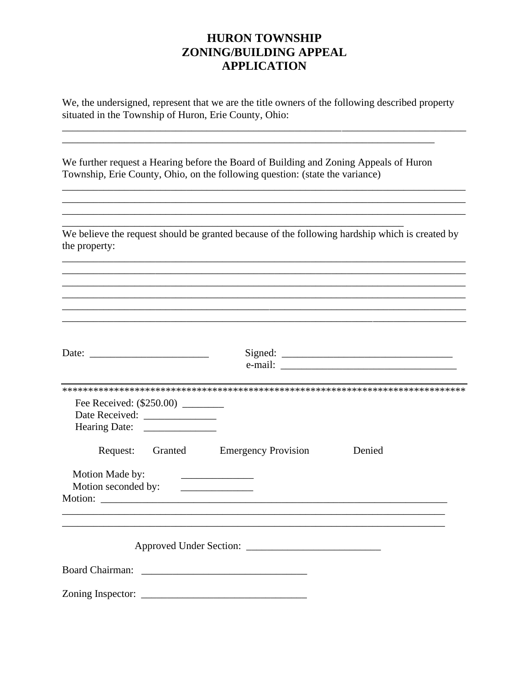## **HURON TOWNSHIP** ZONING/BUILDING APPEAL **APPLICATION**

We, the undersigned, represent that we are the title owners of the following described property situated in the Township of Huron, Erie County, Ohio:

We further request a Hearing before the Board of Building and Zoning Appeals of Huron Township, Erie County, Ohio, on the following question: (state the variance)

<u> 1989 - Johann Stein, fransk politik (\* 1958)</u>

We believe the request should be granted because of the following hardship which is created by the property:

<u> 1989 - 1989 - 1989 - 1989 - 1989 - 1989 - 1989 - 1989 - 1989 - 1989 - 1989 - 1989 - 1989 - 1989 - 1989 - 19</u>

| Date: $\frac{1}{\sqrt{1-\frac{1}{2}} \cdot \frac{1}{2}}$ |                                                                                                        |        |
|----------------------------------------------------------|--------------------------------------------------------------------------------------------------------|--------|
|                                                          |                                                                                                        |        |
| Fee Received: (\$250.00) ________                        |                                                                                                        |        |
| Request:                                                 | Granted Emergency Provision                                                                            | Denied |
| Motion Made by:<br>Motion seconded by:                   | <u> The Communication of the Communication</u><br><u> 1986 - Johann Stein, mars an deus Frankryk (</u> |        |
|                                                          |                                                                                                        |        |
|                                                          |                                                                                                        |        |
|                                                          |                                                                                                        |        |